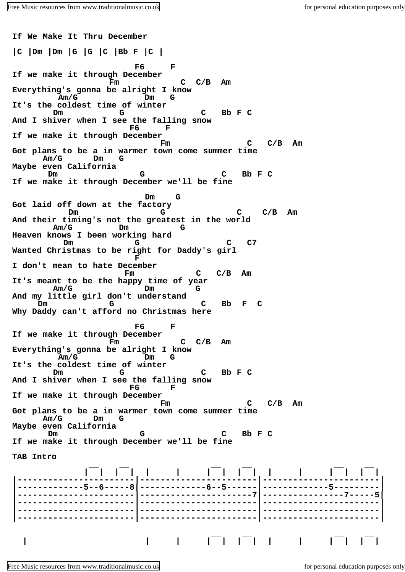**If We Make It Thru December |C |Dm |Dm |G |G |C |Bb F |C | F6 F If we make it through December Fm C C/B Am Everything's gonna be alright I know Am/G Dm G It's the coldest time of winter Dm G C Bb F C And I shiver when I see the falling snow F6 F If we make it through December Fm C C/B Am Got plans to be a in warmer town come summer time Am/G Dm G Maybe even California Dm G C Bb F C If we make it through December we'll be fine Dm G Got laid off down at the factory Dm G C C/B Am And their timing's not the greatest in the world Am/G Dm G Heaven knows I been working hard Dm** G C C7 **Wanted Christmas to be right for Daddy's girl F F F F I don't mean to hate December Fm C C/B Am It's meant to be the happy time of year Am/G Dm G And my little girl don't understand Dm G C Bb F C Why Daddy can't afford no Christmas here F6 F If we make it through December Fm C C/B Am Everything's gonna be alright I know Am/G Dm G It's the coldest time of winter Dm G C Bb F C And I shiver when I see the falling snow F6 F If we make it through December Fm C C/B Am Got plans to be a in warmer town come summer time**  $Am/G$ **Maybe even California Dm G C Bb F C If we make it through December we'll be fine TAB Intro \_\_ \_\_ \_\_ \_\_ \_\_ \_\_ | | | | | | | | | | | | | | | | |-----------------------|-----------------------|-----------------------| |-------------5--6-----8|-------------6--5------|-------------5---------| |-----------------------|----------------------7|----------------7-----5| |-----------------------|-----------------------|-----------------------| \_\_ \_\_ \_\_ \_\_ | | | | | | | | | | | | |**